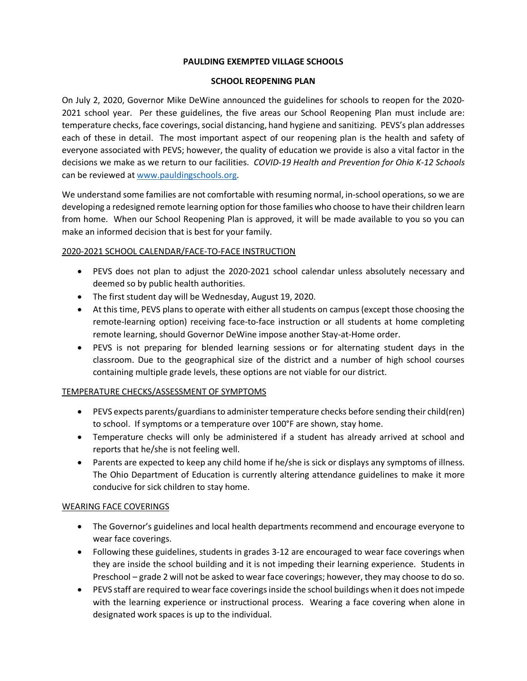### **PAULDING EXEMPTED VILLAGE SCHOOLS**

#### **SCHOOL REOPENING PLAN**

On July 2, 2020, Governor Mike DeWine announced the guidelines for schools to reopen for the 2020- 2021 school year. Per these guidelines, the five areas our School Reopening Plan must include are: temperature checks, face coverings, social distancing, hand hygiene and sanitizing. PEVS's plan addresses each of these in detail. The most important aspect of our reopening plan is the health and safety of everyone associated with PEVS; however, the quality of education we provide is also a vital factor in the decisions we make as we return to our facilities. *COVID-19 Health and Prevention for Ohio K-12 Schools* can be reviewed at [www.pauldingschools.org.](http://www.pauldingschools.org/)

We understand some families are not comfortable with resuming normal, in-school operations, so we are developing a redesigned remote learning option for those families who choose to have their children learn from home. When our School Reopening Plan is approved, it will be made available to you so you can make an informed decision that is best for your family.

## 2020-2021 SCHOOL CALENDAR/FACE-TO-FACE INSTRUCTION

- PEVS does not plan to adjust the 2020-2021 school calendar unless absolutely necessary and deemed so by public health authorities.
- The first student day will be Wednesday, August 19, 2020.
- At this time, PEVS plans to operate with either all students on campus (except those choosing the remote-learning option) receiving face-to-face instruction or all students at home completing remote learning, should Governor DeWine impose another Stay-at-Home order.
- PEVS is not preparing for blended learning sessions or for alternating student days in the classroom. Due to the geographical size of the district and a number of high school courses containing multiple grade levels, these options are not viable for our district.

# TEMPERATURE CHECKS/ASSESSMENT OF SYMPTOMS

- PEVS expects parents/guardians to administer temperature checks before sending their child(ren) to school. If symptoms or a temperature over 100°F are shown, stay home.
- Temperature checks will only be administered if a student has already arrived at school and reports that he/she is not feeling well.
- Parents are expected to keep any child home if he/she is sick or displays any symptoms of illness. The Ohio Department of Education is currently altering attendance guidelines to make it more conducive for sick children to stay home.

# WEARING FACE COVERINGS

- The Governor's guidelines and local health departments recommend and encourage everyone to wear face coverings.
- Following these guidelines, students in grades 3-12 are encouraged to wear face coverings when they are inside the school building and it is not impeding their learning experience. Students in Preschool – grade 2 will not be asked to wear face coverings; however, they may choose to do so.
- PEVS staff are required to wear face coverings inside the school buildings when it does not impede with the learning experience or instructional process. Wearing a face covering when alone in designated work spaces is up to the individual.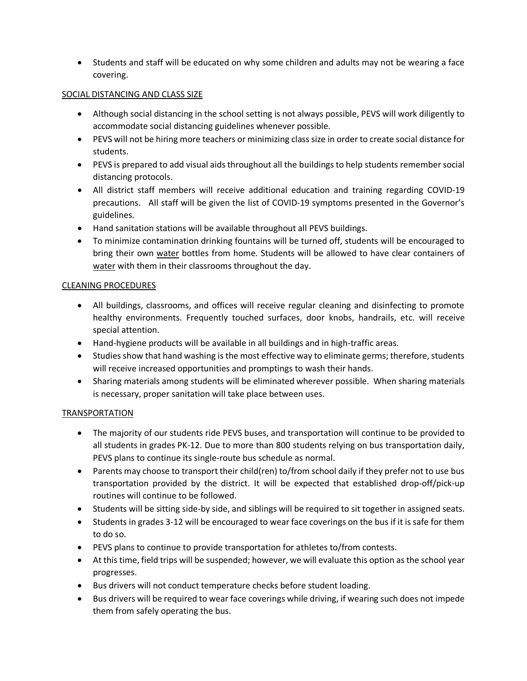• Students and staff will be educated on why some children and adults may not be wearing a face covering.

## SOCIAL DISTANCING AND CLASS SIZE

- Although social distancing in the school setting is not always possible, PEVS will work diligently to accommodate social distancing guidelines whenever possible.
- PEVS will not be hiring more teachers or minimizing class size in order to create social distance for students.
- PEVS is prepared to add visual aids throughout all the buildings to help students remember social distancing protocols.
- All district staff members will receive additional education and training regarding COVID-19 precautions. All staff will be given the list of COVID-19 symptoms presented in the Governor's guidelines.
- Hand sanitation stations will be available throughout all PEVS buildings.
- To minimize contamination drinking fountains will be turned off, students will be encouraged to bring their own water bottles from home. Students will be allowed to have clear containers of water with them in their classrooms throughout the day.

## CLEANING PROCEDURES

- All buildings, classrooms, and offices will receive regular cleaning and disinfecting to promote healthy environments. Frequently touched surfaces, door knobs, handrails, etc. will receive special attention.
- Hand-hygiene products will be available in all buildings and in high-traffic areas.
- Studies show that hand washing is the most effective way to eliminate germs; therefore, students will receive increased opportunities and promptings to wash their hands.
- Sharing materials among students will be eliminated wherever possible. When sharing materials is necessary, proper sanitation will take place between uses.

# TRANSPORTATION

- The majority of our students ride PEVS buses, and transportation will continue to be provided to all students in grades PK-12. Due to more than 800 students relying on bus transportation daily, PEVS plans to continue its single-route bus schedule as normal.
- Parents may choose to transport their child(ren) to/from school daily if they prefer not to use bus transportation provided by the district. It will be expected that established drop-off/pick-up routines will continue to be followed.
- Students will be sitting side-by side, and siblings will be required to sit together in assigned seats.
- Students in grades 3-12 will be encouraged to wear face coverings on the bus if it is safe for them to do so.
- PEVS plans to continue to provide transportation for athletes to/from contests.
- At this time, field trips will be suspended; however, we will evaluate this option as the school year progresses.
- Bus drivers will not conduct temperature checks before student loading.
- Bus drivers will be required to wear face coverings while driving, if wearing such does not impede them from safely operating the bus.